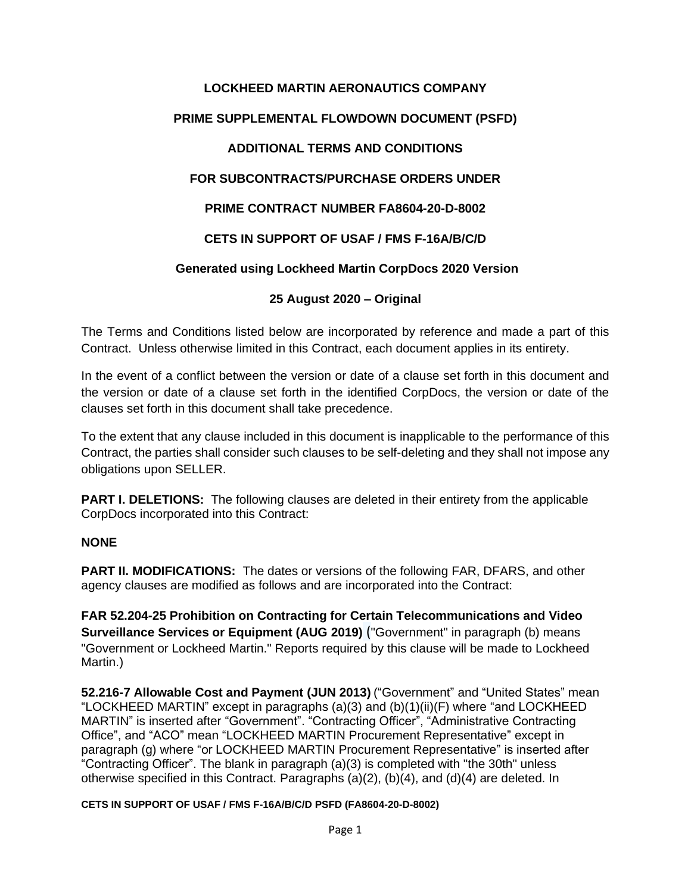# **LOCKHEED MARTIN AERONAUTICS COMPANY PRIME SUPPLEMENTAL FLOWDOWN DOCUMENT (PSFD) ADDITIONAL TERMS AND CONDITIONS FOR SUBCONTRACTS/PURCHASE ORDERS UNDER PRIME CONTRACT NUMBER FA8604-20-D-8002 CETS IN SUPPORT OF USAF / FMS F-16A/B/C/D Generated using Lockheed Martin CorpDocs 2020 Version**

#### **25 August 2020 – Original**

The Terms and Conditions listed below are incorporated by reference and made a part of this Contract. Unless otherwise limited in this Contract, each document applies in its entirety.

In the event of a conflict between the version or date of a clause set forth in this document and the version or date of a clause set forth in the identified CorpDocs, the version or date of the clauses set forth in this document shall take precedence.

To the extent that any clause included in this document is inapplicable to the performance of this Contract, the parties shall consider such clauses to be self-deleting and they shall not impose any obligations upon SELLER.

**PART I. DELETIONS:** The following clauses are deleted in their entirety from the applicable CorpDocs incorporated into this Contract:

#### **NONE**

**PART II. MODIFICATIONS:** The dates or versions of the following FAR, DFARS, and other agency clauses are modified as follows and are incorporated into the Contract:

**FAR 52.204-25 Prohibition on Contracting for Certain Telecommunications and Video Surveillance Services or Equipment (AUG 2019)** ("Government" in paragraph (b) means "Government or Lockheed Martin." Reports required by this clause will be made to Lockheed Martin.)

**52.216-7 Allowable Cost and Payment (JUN 2013)** ("Government" and "United States" mean "LOCKHEED MARTIN" except in paragraphs (a)(3) and (b)(1)(ii)(F) where "and LOCKHEED MARTIN" is inserted after "Government". "Contracting Officer", "Administrative Contracting Office", and "ACO" mean "LOCKHEED MARTIN Procurement Representative" except in paragraph (g) where "or LOCKHEED MARTIN Procurement Representative" is inserted after "Contracting Officer". The blank in paragraph (a)(3) is completed with "the 30th" unless otherwise specified in this Contract. Paragraphs (a)(2), (b)(4), and (d)(4) are deleted. In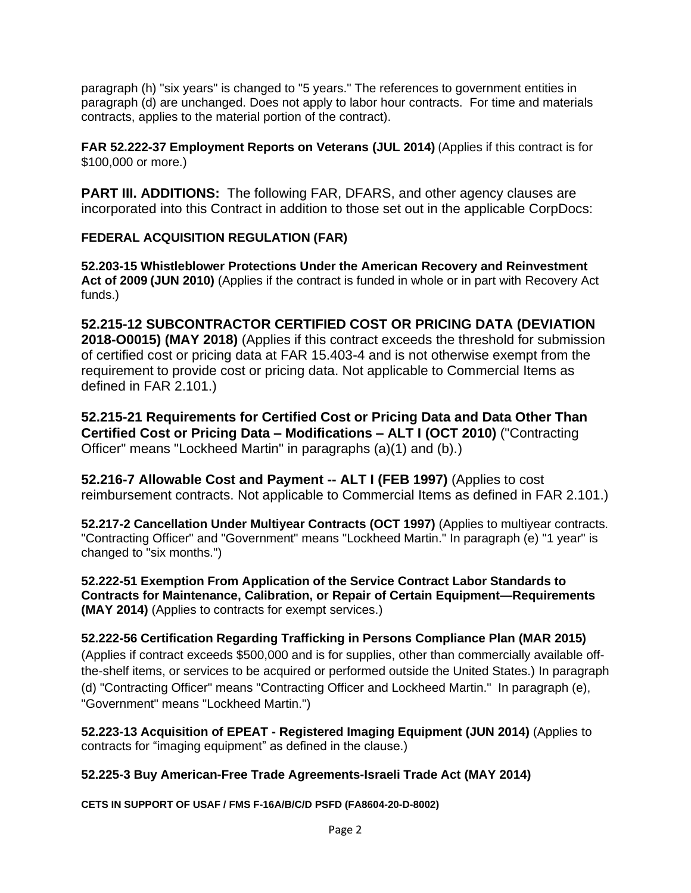paragraph (h) "six years" is changed to "5 years." The references to government entities in paragraph (d) are unchanged. Does not apply to labor hour contracts. For time and materials contracts, applies to the material portion of the contract).

**FAR 52.222-37 Employment Reports on Veterans (JUL 2014)** (Applies if this contract is for \$100,000 or more.)

**PART III. ADDITIONS:** The following FAR, DFARS, and other agency clauses are incorporated into this Contract in addition to those set out in the applicable CorpDocs:

#### **FEDERAL ACQUISITION REGULATION (FAR)**

**52.203-15 Whistleblower Protections Under the American Recovery and Reinvestment Act of 2009 (JUN 2010)** (Applies if the contract is funded in whole or in part with Recovery Act funds.)

**52.215-12 SUBCONTRACTOR CERTIFIED COST OR PRICING DATA (DEVIATION 2018-O0015) (MAY 2018)** (Applies if this contract exceeds the threshold for submission of certified cost or pricing data at FAR 15.403-4 and is not otherwise exempt from the requirement to provide cost or pricing data. Not applicable to Commercial Items as defined in FAR 2.101.)

**52.215-21 Requirements for Certified Cost or Pricing Data and Data Other Than Certified Cost or Pricing Data – Modifications – ALT I (OCT 2010)** ("Contracting Officer" means "Lockheed Martin" in paragraphs (a)(1) and (b).)

**52.216-7 Allowable Cost and Payment -- ALT I (FEB 1997)** (Applies to cost reimbursement contracts. Not applicable to Commercial Items as defined in FAR 2.101.)

**52.217-2 Cancellation Under Multiyear Contracts (OCT 1997)** (Applies to multiyear contracts. "Contracting Officer" and "Government" means "Lockheed Martin." In paragraph (e) "1 year" is changed to "six months.")

**52.222-51 Exemption From Application of the Service Contract Labor Standards to Contracts for Maintenance, Calibration, or Repair of Certain Equipment—Requirements (MAY 2014)** (Applies to contracts for exempt services.)

## **52.222-56 Certification Regarding Trafficking in Persons Compliance Plan (MAR 2015)**

(Applies if contract exceeds \$500,000 and is for supplies, other than commercially available offthe-shelf items, or services to be acquired or performed outside the United States.) In paragraph (d) "Contracting Officer" means "Contracting Officer and Lockheed Martin." In paragraph (e), "Government" means "Lockheed Martin.")

**52.223-13 Acquisition of EPEAT - Registered Imaging Equipment (JUN 2014)** (Applies to contracts for "imaging equipment" as defined in the clause.)

#### **52.225-3 Buy American-Free Trade Agreements-Israeli Trade Act (MAY 2014)**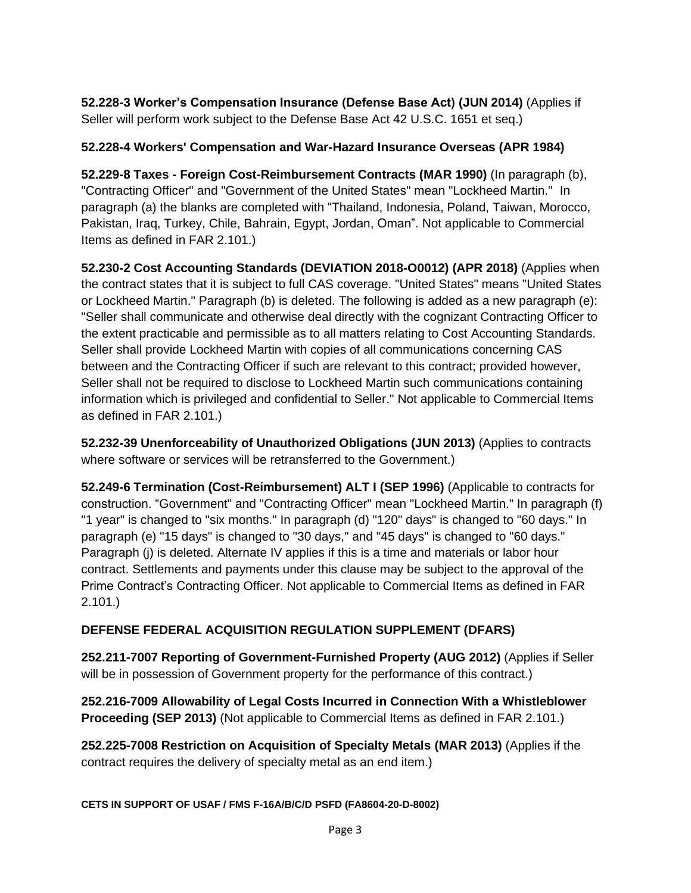**52.228-3 Worker's Compensation Insurance (Defense Base Act) (JUN 2014)** (Applies if Seller will perform work subject to the Defense Base Act 42 U.S.C. 1651 et seq.)

#### **52.228-4 Workers' Compensation and War-Hazard Insurance Overseas (APR 1984)**

**52.229-8 Taxes - Foreign Cost-Reimbursement Contracts (MAR 1990)** (In paragraph (b), "Contracting Officer" and "Government of the United States" mean "Lockheed Martin." In paragraph (a) the blanks are completed with "Thailand, Indonesia, Poland, Taiwan, Morocco, Pakistan, Iraq, Turkey, Chile, Bahrain, Egypt, Jordan, Oman". Not applicable to Commercial Items as defined in FAR 2.101.)

**52.230-2 Cost Accounting Standards (DEVIATION 2018-O0012) (APR 2018)** (Applies when the contract states that it is subject to full CAS coverage. "United States" means "United States or Lockheed Martin." Paragraph (b) is deleted. The following is added as a new paragraph (e): "Seller shall communicate and otherwise deal directly with the cognizant Contracting Officer to the extent practicable and permissible as to all matters relating to Cost Accounting Standards. Seller shall provide Lockheed Martin with copies of all communications concerning CAS between and the Contracting Officer if such are relevant to this contract; provided however, Seller shall not be required to disclose to Lockheed Martin such communications containing information which is privileged and confidential to Seller." Not applicable to Commercial Items as defined in FAR 2.101.)

**52.232-39 Unenforceability of Unauthorized Obligations (JUN 2013)** (Applies to contracts where software or services will be retransferred to the Government.)

**52.249-6 Termination (Cost-Reimbursement) ALT I (SEP 1996)** (Applicable to contracts for construction. "Government" and "Contracting Officer" mean "Lockheed Martin." In paragraph (f) "1 year" is changed to "six months." In paragraph (d) "120" days" is changed to "60 days." In paragraph (e) "15 days" is changed to "30 days," and "45 days" is changed to "60 days." Paragraph (j) is deleted. Alternate IV applies if this is a time and materials or labor hour contract. Settlements and payments under this clause may be subject to the approval of the Prime Contract's Contracting Officer. Not applicable to Commercial Items as defined in FAR 2.101.)

#### **DEFENSE FEDERAL ACQUISITION REGULATION SUPPLEMENT (DFARS)**

**252.211-7007 Reporting of Government-Furnished Property (AUG 2012)** (Applies if Seller will be in possession of Government property for the performance of this contract.)

**252.216-7009 Allowability of Legal Costs Incurred in Connection With a Whistleblower Proceeding (SEP 2013)** (Not applicable to Commercial Items as defined in FAR 2.101.)

**252.225-7008 Restriction on Acquisition of Specialty Metals (MAR 2013)** (Applies if the contract requires the delivery of specialty metal as an end item.)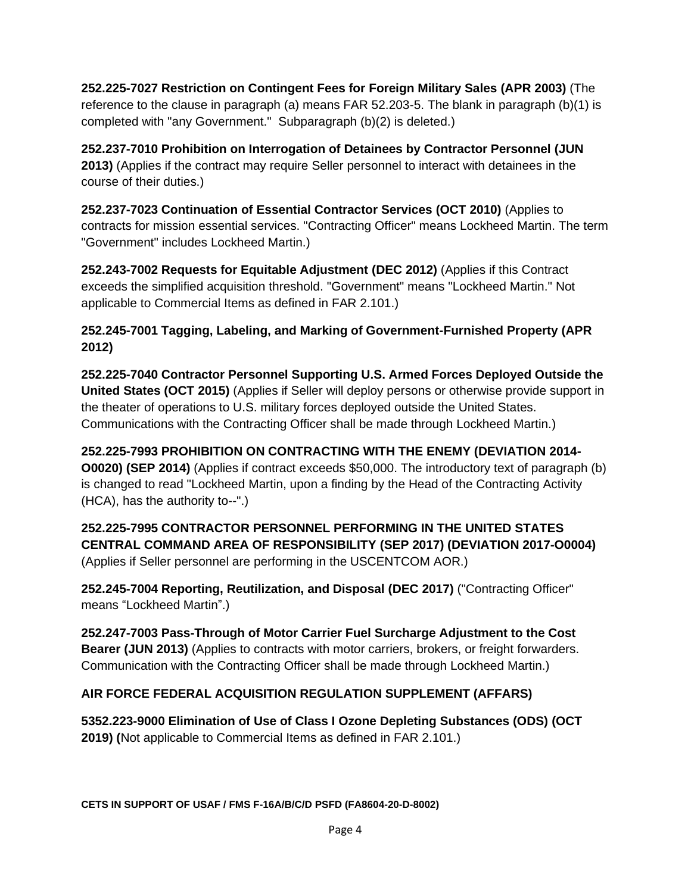**252.225-7027 Restriction on Contingent Fees for Foreign Military Sales (APR 2003)** (The reference to the clause in paragraph (a) means FAR 52.203-5. The blank in paragraph (b)(1) is completed with "any Government." Subparagraph (b)(2) is deleted.)

**252.237-7010 Prohibition on Interrogation of Detainees by Contractor Personnel (JUN 2013)** (Applies if the contract may require Seller personnel to interact with detainees in the course of their duties.)

**252.237-7023 Continuation of Essential Contractor Services (OCT 2010)** (Applies to contracts for mission essential services. "Contracting Officer" means Lockheed Martin. The term "Government" includes Lockheed Martin.)

**252.243-7002 Requests for Equitable Adjustment (DEC 2012)** (Applies if this Contract exceeds the simplified acquisition threshold. "Government" means "Lockheed Martin." Not applicable to Commercial Items as defined in FAR 2.101.)

#### **252.245-7001 Tagging, Labeling, and Marking of Government-Furnished Property (APR 2012)**

**252.225-7040 Contractor Personnel Supporting U.S. Armed Forces Deployed Outside the United States (OCT 2015)** (Applies if Seller will deploy persons or otherwise provide support in the theater of operations to U.S. military forces deployed outside the United States. Communications with the Contracting Officer shall be made through Lockheed Martin.)

**252.225-7993 PROHIBITION ON CONTRACTING WITH THE ENEMY (DEVIATION 2014- O0020) (SEP 2014)** (Applies if contract exceeds \$50,000. The introductory text of paragraph (b) is changed to read "Lockheed Martin, upon a finding by the Head of the Contracting Activity (HCA), has the authority to--".)

**252.225-7995 CONTRACTOR PERSONNEL PERFORMING IN THE UNITED STATES CENTRAL COMMAND AREA OF RESPONSIBILITY (SEP 2017) (DEVIATION 2017-O0004)** (Applies if Seller personnel are performing in the USCENTCOM AOR.)

**252.245-7004 Reporting, Reutilization, and Disposal (DEC 2017)** ("Contracting Officer" means "Lockheed Martin".)

**252.247-7003 Pass-Through of Motor Carrier Fuel Surcharge Adjustment to the Cost Bearer (JUN 2013)** (Applies to contracts with motor carriers, brokers, or freight forwarders. Communication with the Contracting Officer shall be made through Lockheed Martin.)

### **AIR FORCE FEDERAL ACQUISITION REGULATION SUPPLEMENT (AFFARS)**

**5352.223-9000 Elimination of Use of Class I Ozone Depleting Substances (ODS) (OCT 2019) (**Not applicable to Commercial Items as defined in FAR 2.101.)